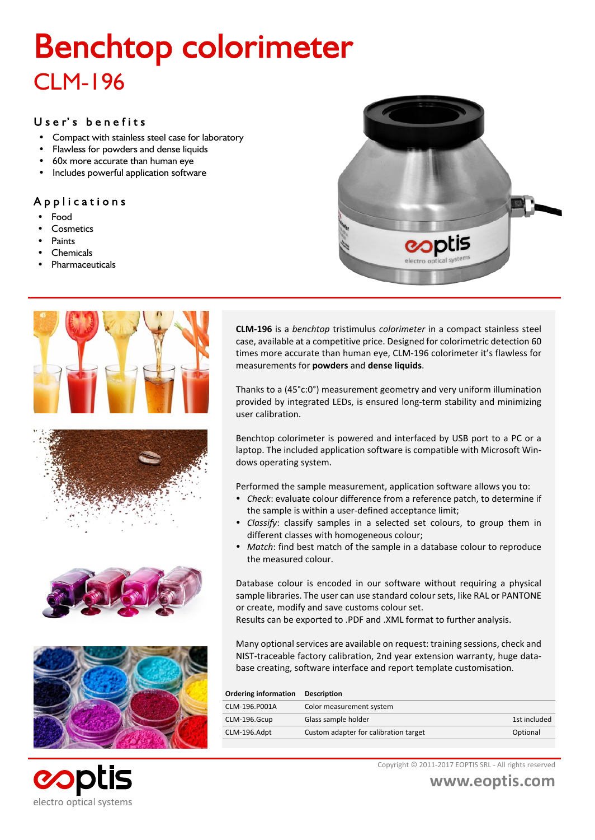# **Benchtop colorimeter** CLM-196

#### User's benefits

- Compact with stainless steel case for laboratory
- Flawless for powders and dense liquids
- 60x more accurate than human eye
- Includes powerful application software

#### Applications

- ü Food
- **Cosmetics**
- Paints
- **Chemicals**
- **Pharmaceuticals**











**eopti** 

electro optical systems

**CLM-196** is a *benchtop* tristimulus *colorimeter* in a compact stainless steel case, available at a competitive price. Designed for colorimetric detection 60 times more accurate than human eye, CLM-196 colorimeter it's flawless for measurements for **powders** and **dense liquids**.

Thanks to a (45°c:0°) measurement geometry and very uniform illumination provided by integrated LEDs, is ensured long-term stability and minimizing user calibration.

Benchtop colorimeter is powered and interfaced by USB port to a PC or a laptop. The included application software is compatible with Microsoft Windows operating system.

Performed the sample measurement, application software allows you to:

- ü *Check*: evaluate colour difference from a reference patch, to determine if the sample is within a user-defined acceptance limit;
- ü *Classify*: classify samples in a selected set colours, to group them in different classes with homogeneous colour;
- Match: find best match of the sample in a database colour to reproduce the measured colour.

Database colour is encoded in our software without requiring a physical sample libraries. The user can use standard colour sets, like RAL or PANTONE or create, modify and save customs colour set.

Results can be exported to .PDF and .XML format to further analysis.

Many optional services are available on request: training sessions, check and NIST-traceable factory calibration, 2nd year extension warranty, huge database creating, software interface and report template customisation.

| <b>Description</b>                    |              |
|---------------------------------------|--------------|
| Color measurement system              |              |
| Glass sample holder                   | 1st included |
| Custom adapter for calibration target | Optional     |
|                                       |              |

Copyright © 2011-2017 EOPTIS SRL - All rights reserved

**www.eoptis.com**